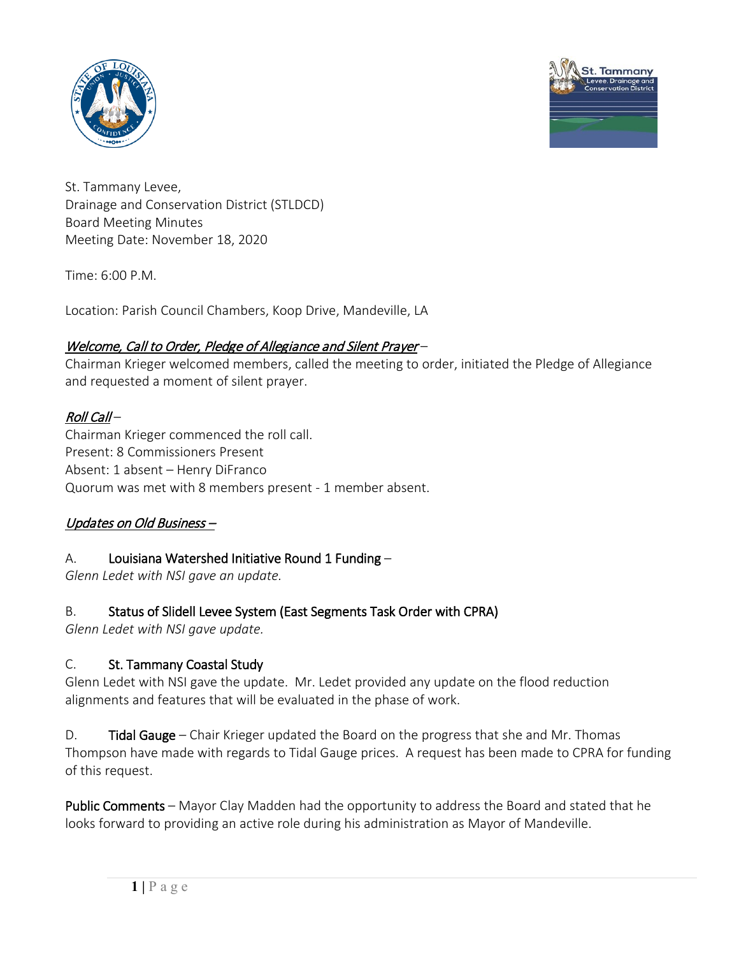



St. Tammany Levee, Drainage and Conservation District (STLDCD) Board Meeting Minutes Meeting Date: November 18, 2020

 $Time: 6:00 P M$ 

Location: Parish Council Chambers, Koop Drive, Mandeville, LA

## Welcome, Call to Order, Pledge of Allegiance and Silent Prayer –

Chairman Krieger welcomed members, called the meeting to order, initiated the Pledge of Allegiance and requested a moment of silent prayer.

# Roll Call –

Chairman Krieger commenced the roll call. Present: 8 Commissioners Present Absent: 1 absent – Henry DiFranco Quorum was met with 8 members present - 1 member absent.

# Updates on Old Business –

## A. Louisiana Watershed Initiative Round 1 Funding –

*Glenn Ledet with NSI gave an update.* 

# B. Status of Slidell Levee System (East Segments Task Order with CPRA)

*Glenn Ledet with NSI gave update.* 

# C. St. Tammany Coastal Study

Glenn Ledet with NSI gave the update. Mr. Ledet provided any update on the flood reduction alignments and features that will be evaluated in the phase of work.

D. **Tidal Gauge** – Chair Krieger updated the Board on the progress that she and Mr. Thomas Thompson have made with regards to Tidal Gauge prices. A request has been made to CPRA for funding of this request.

Public Comments – Mayor Clay Madden had the opportunity to address the Board and stated that he looks forward to providing an active role during his administration as Mayor of Mandeville.